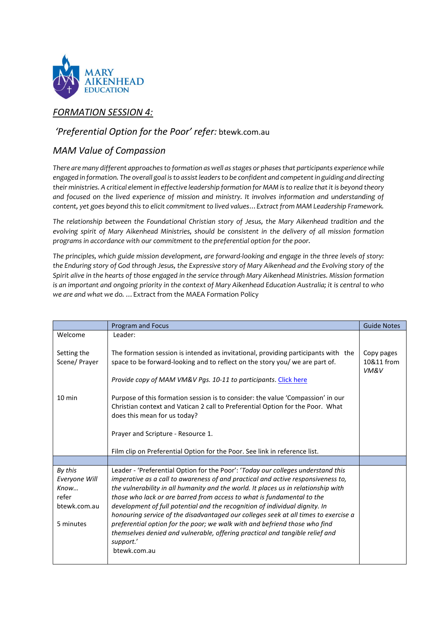

# *FORMATION SESSION 4:*

# *'Preferential Option for the Poor' refer:* btewk.com.au

# *MAM Value of Compassion*

*There are many different approaches to formation as well as stages or phases that participants experience while engaged in formation. The overall goal is to assist leaders to be confident and competent in guiding and directing their ministries. A critical element in effective leadership formation for MAM is to realize that it is beyond theory and focused on the lived experience of mission and ministry. It involves information and understanding of content, yet goes beyond this to elicit commitment to lived values…Extract from MAM Leadership Framework.* 

*The relationship between the Foundational Christian story of Jesus, the Mary Aikenhead tradition and the evolving spirit of Mary Aikenhead Ministries, should be consistent in the delivery of all mission formation programs in accordance with our commitment to the preferential option for the poor.*

*The principles, which guide mission development, are forward-looking and engage in the three levels of story: the Enduring story of God through Jesus, the Expressive story of Mary Aikenhead and the Evolving story of the Spirit alive in the hearts of those engaged in the service through Mary Aikenhead Ministries. Mission formation is an important and ongoing priority in the context of Mary Aikenhead Education Australia; it is central to who we are and what we do. …*Extract from the MAEA Formation Policy

|                                                                        | Program and Focus                                                                                                                                                                                                                                                                                                                                                                                                                                                                                                                                                                                                                                                                                     | <b>Guide Notes</b>               |
|------------------------------------------------------------------------|-------------------------------------------------------------------------------------------------------------------------------------------------------------------------------------------------------------------------------------------------------------------------------------------------------------------------------------------------------------------------------------------------------------------------------------------------------------------------------------------------------------------------------------------------------------------------------------------------------------------------------------------------------------------------------------------------------|----------------------------------|
| Welcome                                                                | Leader:                                                                                                                                                                                                                                                                                                                                                                                                                                                                                                                                                                                                                                                                                               |                                  |
| Setting the<br>Scene/ Prayer                                           | The formation session is intended as invitational, providing participants with the<br>space to be forward-looking and to reflect on the story you/ we are part of.                                                                                                                                                                                                                                                                                                                                                                                                                                                                                                                                    | Copy pages<br>10&11 from<br>VM&V |
|                                                                        | Provide copy of MAM VM&V Pgs. 10-11 to participants. Click here                                                                                                                                                                                                                                                                                                                                                                                                                                                                                                                                                                                                                                       |                                  |
| $10 \text{ min}$                                                       | Purpose of this formation session is to consider: the value 'Compassion' in our<br>Christian context and Vatican 2 call to Preferential Option for the Poor. What<br>does this mean for us today?                                                                                                                                                                                                                                                                                                                                                                                                                                                                                                     |                                  |
|                                                                        | Prayer and Scripture - Resource 1.                                                                                                                                                                                                                                                                                                                                                                                                                                                                                                                                                                                                                                                                    |                                  |
|                                                                        | Film clip on Preferential Option for the Poor. See link in reference list.                                                                                                                                                                                                                                                                                                                                                                                                                                                                                                                                                                                                                            |                                  |
|                                                                        |                                                                                                                                                                                                                                                                                                                                                                                                                                                                                                                                                                                                                                                                                                       |                                  |
| By this<br>Everyone Will<br>Know<br>refer<br>btewk.com.au<br>5 minutes | Leader - 'Preferential Option for the Poor': 'Today our colleges understand this<br>imperative as a call to awareness of and practical and active responsiveness to,<br>the vulnerability in all humanity and the world. It places us in relationship with<br>those who lack or are barred from access to what is fundamental to the<br>development of full potential and the recognition of individual dignity. In<br>honouring service of the disadvantaged our colleges seek at all times to exercise a<br>preferential option for the poor; we walk with and befriend those who find<br>themselves denied and vulnerable, offering practical and tangible relief and<br>support.'<br>btewk.com.au |                                  |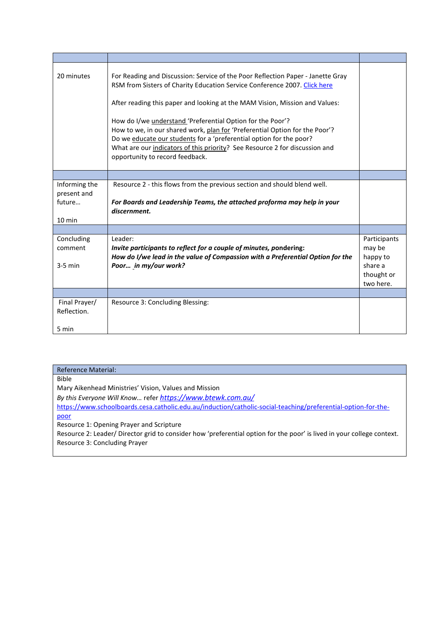| 20 minutes                                                 | For Reading and Discussion: Service of the Poor Reflection Paper - Janette Gray<br>RSM from Sisters of Charity Education Service Conference 2007. Click here<br>After reading this paper and looking at the MAM Vision, Mission and Values:<br>How do I/we understand 'Preferential Option for the Poor'?<br>How to we, in our shared work, plan for 'Preferential Option for the Poor'?<br>Do we educate our students for a 'preferential option for the poor?<br>What are our indicators of this priority? See Resource 2 for discussion and<br>opportunity to record feedback. |                                                                          |
|------------------------------------------------------------|-----------------------------------------------------------------------------------------------------------------------------------------------------------------------------------------------------------------------------------------------------------------------------------------------------------------------------------------------------------------------------------------------------------------------------------------------------------------------------------------------------------------------------------------------------------------------------------|--------------------------------------------------------------------------|
|                                                            |                                                                                                                                                                                                                                                                                                                                                                                                                                                                                                                                                                                   |                                                                          |
| Informing the<br>present and<br>future<br>$10 \text{ min}$ | Resource 2 - this flows from the previous section and should blend well.<br>For Boards and Leadership Teams, the attached proforma may help in your<br>discernment.                                                                                                                                                                                                                                                                                                                                                                                                               |                                                                          |
|                                                            |                                                                                                                                                                                                                                                                                                                                                                                                                                                                                                                                                                                   |                                                                          |
| Concluding<br>comment<br>$3-5$ min                         | Leader:<br>Invite participants to reflect for a couple of minutes, pondering:<br>How do I/we lead in the value of Compassion with a Preferential Option for the<br>Poor in my/our work?                                                                                                                                                                                                                                                                                                                                                                                           | Participants<br>may be<br>happy to<br>share a<br>thought or<br>two here. |
|                                                            |                                                                                                                                                                                                                                                                                                                                                                                                                                                                                                                                                                                   |                                                                          |
| Final Prayer/<br>Reflection.<br>5 min                      | Resource 3: Concluding Blessing:                                                                                                                                                                                                                                                                                                                                                                                                                                                                                                                                                  |                                                                          |

| <b>Reference Material:</b>                                                                                            |
|-----------------------------------------------------------------------------------------------------------------------|
| <b>Bible</b>                                                                                                          |
| Mary Aikenhead Ministries' Vision, Values and Mission                                                                 |
| By this Everyone Will Know refer https://www.btewk.com.au/                                                            |
| https://www.schoolboards.cesa.catholic.edu.au/induction/catholic-social-teaching/preferential-option-for-the-         |
| poor                                                                                                                  |
| Resource 1: Opening Prayer and Scripture                                                                              |
| Resource 2: Leader/Director grid to consider how 'preferential option for the poor' is lived in your college context. |
| Resource 3: Concluding Prayer                                                                                         |
|                                                                                                                       |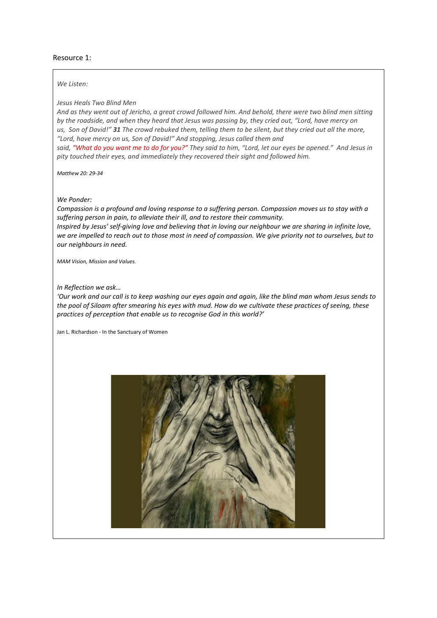### Resource 1:

#### *We Listen:*

### *Jesus Heals Two Blind Men*

And as they went out of Jericho, a great crowd followed him. And behold, there were two blind men sitting by the roadside, and when they heard that Jesus was passing by, they cried out, "Lord, have mercy on us, Son of David!" 31 The crowd rebuked them, telling them to be silent, but they cried out all the more, *"Lord, have mercy on us, Son of David!" And stopping, Jesus called them and*

said, "What do you want me to do for you?" They said to him, "Lord, let our eyes be opened." And Jesus in *pity touched their eyes, and immediately they recovered their sight and followed him.*

*Matthew 20: 29-34*

#### *We Ponder:*

*Compassion is a profound and loving response to a suffering person. Compassion moves us to stay with a suffering person in pain, to alleviate their ill, and to restore their community. Inspired by Jesus' self-giving love and believing that in loving our neighbour we are sharing in infinite love, we are impelled to reach out to those most in need of compassion. We give priority not to ourselves, but to our neighbours in need.* 

*MAM Vision, Mission and Values.* 

#### *In Reflection we ask…*

*'Our work and our call is to keep washing our eyes again and again, like the blind man whom Jesus sends to the pool of Siloam after smearing his eyes with mud. How do we cultivate these practices of seeing, these practices of perception that enable us to recognise God in this world?'* 

Jan L. Richardson - In the Sanctuary of Women

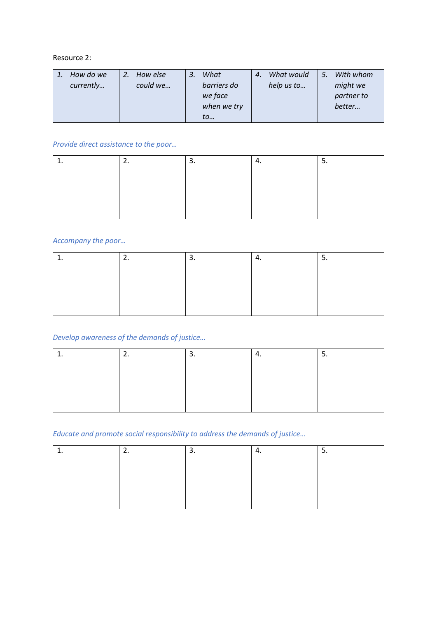## Resource 2:

| How do we | How else | What        | 4. | What would | 5. | With whom  |
|-----------|----------|-------------|----|------------|----|------------|
| currently | could we | barriers do |    | help us to |    | might we   |
|           |          | we face     |    |            |    | partner to |
|           |          | when we try |    |            |    | better     |
|           |          | to          |    |            |    |            |

# *Provide direct assistance to the poor…*

|  | . ب |  |
|--|-----|--|
|  |     |  |
|  |     |  |
|  |     |  |
|  |     |  |

## *Accompany the poor…*

| <u>. . </u> | . ب |  |
|-------------|-----|--|
|             |     |  |
|             |     |  |
|             |     |  |
|             |     |  |

# *Develop awareness of the demands of justice…*

| <u>. . </u> | . ب | . . |  |
|-------------|-----|-----|--|
|             |     |     |  |
|             |     |     |  |
|             |     |     |  |
|             |     |     |  |

## *Educate and promote social responsibility to address the demands of justice…*

| <u>. . </u> | . ب | т. | . ب |
|-------------|-----|----|-----|
|             |     |    |     |
|             |     |    |     |
|             |     |    |     |
|             |     |    |     |